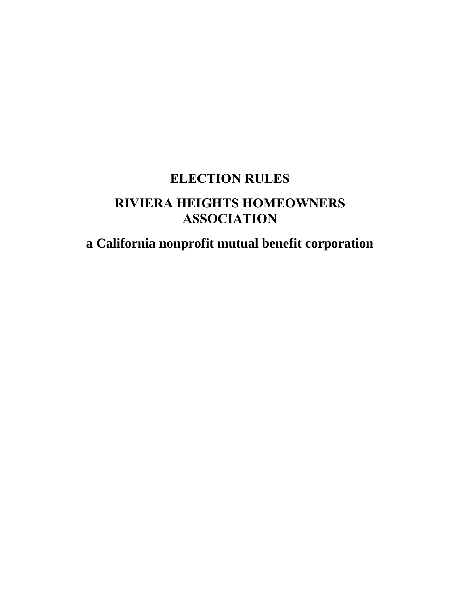# **ELECTION RULES RIVIERA HEIGHTS HOMEOWNERS ASSOCIATION**

**a California nonprofit mutual benefit corporation**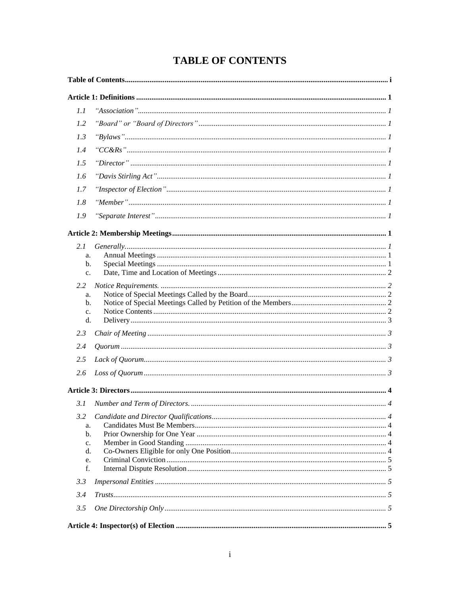## **TABLE OF CONTENTS**

| 1.1                  |  |
|----------------------|--|
| 1.2                  |  |
| 1.3                  |  |
| 1.4                  |  |
| 1.5                  |  |
| 1.6                  |  |
| 1.7                  |  |
| 1.8                  |  |
| 1.9                  |  |
|                      |  |
| 2.1                  |  |
| a.                   |  |
| $b$ .<br>$C_{\star}$ |  |
| 2.2                  |  |
| a.                   |  |
| $\mathbf{b}$ .       |  |
| $C_{\star}$          |  |
| d.                   |  |
| 2.3                  |  |
| 2.4                  |  |
| 2.5                  |  |
| 2.6                  |  |
|                      |  |
| 3.1                  |  |
| 3.2                  |  |
| a.                   |  |
| b.                   |  |
| c.<br>d.             |  |
| e.                   |  |
| f.                   |  |
| 3.3                  |  |
| 3.4                  |  |
| 3.5                  |  |
|                      |  |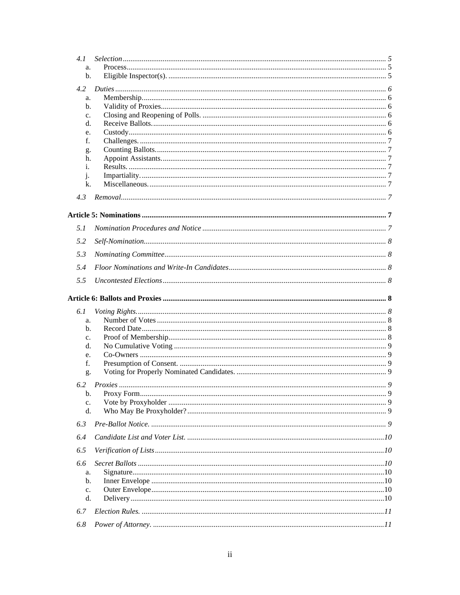| 4.1            |  |
|----------------|--|
| a.             |  |
| b.             |  |
|                |  |
| 4.2            |  |
| a.             |  |
| $\mathbf{b}$ . |  |
| c.             |  |
| d.             |  |
| e.             |  |
| f.             |  |
| g.             |  |
| h.             |  |
| i.             |  |
| $\mathbf{1}$   |  |
| k.             |  |
| 4.3            |  |
|                |  |
|                |  |
| 5.1            |  |
| 5.2            |  |
| 5.3            |  |
| 5.4            |  |
|                |  |
| 5.5            |  |
| 6.1            |  |
| a.             |  |
| $\mathbf{b}$ . |  |
| c.             |  |
| d.             |  |
| e.             |  |
| f.             |  |
| g.             |  |
|                |  |
| 6.2            |  |
| b.             |  |
| c.             |  |
| d.             |  |
| 6.3            |  |
| 6.4            |  |
| 6.5            |  |
| 6.6            |  |
| a.             |  |
| $\mathbf{b}$ . |  |
| c.             |  |
| d.             |  |
| 6.7            |  |
| 6.8            |  |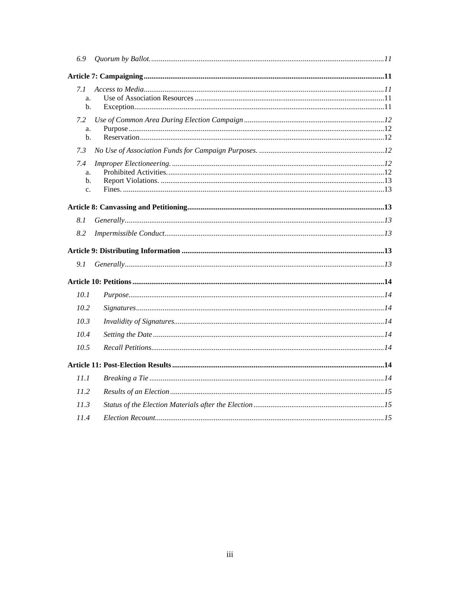| 6.9            |                                                                                                                                                                                      |  |
|----------------|--------------------------------------------------------------------------------------------------------------------------------------------------------------------------------------|--|
|                |                                                                                                                                                                                      |  |
| 7.1            |                                                                                                                                                                                      |  |
| a.             |                                                                                                                                                                                      |  |
| $\mathbf{b}$ . |                                                                                                                                                                                      |  |
| 7.2            |                                                                                                                                                                                      |  |
| a.             |                                                                                                                                                                                      |  |
| b.             |                                                                                                                                                                                      |  |
| 7.3            |                                                                                                                                                                                      |  |
| 7.4            |                                                                                                                                                                                      |  |
| a.             |                                                                                                                                                                                      |  |
| b.             |                                                                                                                                                                                      |  |
| $\mathbf{c}$ . |                                                                                                                                                                                      |  |
|                |                                                                                                                                                                                      |  |
| 8.1            |                                                                                                                                                                                      |  |
| 8.2            |                                                                                                                                                                                      |  |
|                |                                                                                                                                                                                      |  |
| 9.1            |                                                                                                                                                                                      |  |
|                |                                                                                                                                                                                      |  |
|                |                                                                                                                                                                                      |  |
| 10.1           |                                                                                                                                                                                      |  |
| 10.2           |                                                                                                                                                                                      |  |
| 10.3           |                                                                                                                                                                                      |  |
| 10.4           |                                                                                                                                                                                      |  |
| 10.5           |                                                                                                                                                                                      |  |
|                |                                                                                                                                                                                      |  |
| 11.1           |                                                                                                                                                                                      |  |
| 11.2           |                                                                                                                                                                                      |  |
| 11.3           |                                                                                                                                                                                      |  |
| 11.4           | $Electron$ Recount $\ldots$ $\ldots$ $\ldots$ $\ldots$ $\ldots$ $\ldots$ $\ldots$ $\ldots$ $\ldots$ $\ldots$ $\ldots$ $\ldots$ $\ldots$ $\ldots$ $\ldots$ $\ldots$ $\ldots$ $\ldots$ |  |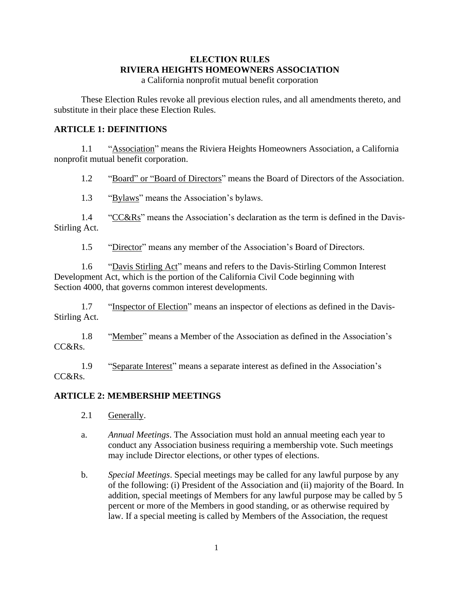## **ELECTION RULES RIVIERA HEIGHTS HOMEOWNERS ASSOCIATION**

a California nonprofit mutual benefit corporation

These Election Rules revoke all previous election rules, and all amendments thereto, and substitute in their place these Election Rules.

## **ARTICLE 1: DEFINITIONS**

1.1 "Association" means the Riviera Heights Homeowners Association, a California nonprofit mutual benefit corporation.

1.2 "Board" or "Board of Directors" means the Board of Directors of the Association.

1.3 "Bylaws" means the Association's bylaws.

1.4 "CC&Rs" means the Association's declaration as the term is defined in the Davis-Stirling Act.

1.5 "Director" means any member of the Association's Board of Directors.

1.6 "Davis Stirling Act" means and refers to the Davis-Stirling Common Interest Development Act, which is the portion of the California Civil Code beginning with Section 4000, that governs common interest developments.

1.7 "Inspector of Election" means an inspector of elections as defined in the Davis-Stirling Act.

1.8 "Member" means a Member of the Association as defined in the Association's CC&Rs.

1.9 "Separate Interest" means a separate interest as defined in the Association's CC&Rs.

## **ARTICLE 2: MEMBERSHIP MEETINGS**

- 2.1 Generally.
- a. *Annual Meetings*. The Association must hold an annual meeting each year to conduct any Association business requiring a membership vote. Such meetings may include Director elections, or other types of elections.
- b. *Special Meetings*. Special meetings may be called for any lawful purpose by any of the following: (i) President of the Association and (ii) majority of the Board. In addition, special meetings of Members for any lawful purpose may be called by 5 percent or more of the Members in good standing, or as otherwise required by law. If a special meeting is called by Members of the Association, the request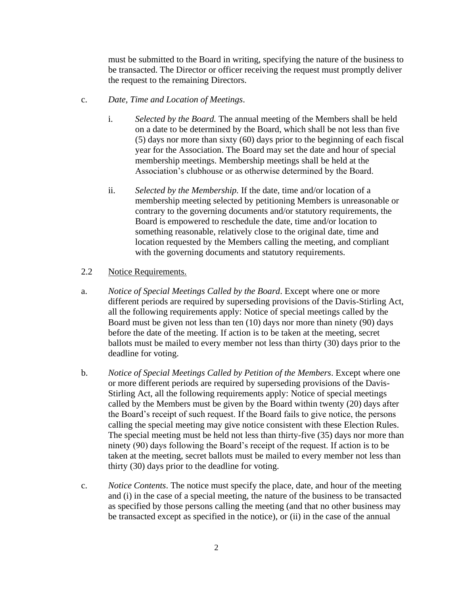must be submitted to the Board in writing, specifying the nature of the business to be transacted. The Director or officer receiving the request must promptly deliver the request to the remaining Directors.

- c. *Date, Time and Location of Meetings*.
	- i. *Selected by the Board.* The annual meeting of the Members shall be held on a date to be determined by the Board, which shall be not less than five (5) days nor more than sixty (60) days prior to the beginning of each fiscal year for the Association. The Board may set the date and hour of special membership meetings. Membership meetings shall be held at the Association's clubhouse or as otherwise determined by the Board.
	- ii. *Selected by the Membership.* If the date, time and/or location of a membership meeting selected by petitioning Members is unreasonable or contrary to the governing documents and/or statutory requirements, the Board is empowered to reschedule the date, time and/or location to something reasonable, relatively close to the original date, time and location requested by the Members calling the meeting, and compliant with the governing documents and statutory requirements.

#### 2.2 Notice Requirements.

- a. *Notice of Special Meetings Called by the Board*. Except where one or more different periods are required by superseding provisions of the Davis-Stirling Act, all the following requirements apply: Notice of special meetings called by the Board must be given not less than ten (10) days nor more than ninety (90) days before the date of the meeting. If action is to be taken at the meeting, secret ballots must be mailed to every member not less than thirty (30) days prior to the deadline for voting.
- b. *Notice of Special Meetings Called by Petition of the Members*. Except where one or more different periods are required by superseding provisions of the Davis-Stirling Act, all the following requirements apply: Notice of special meetings called by the Members must be given by the Board within twenty (20) days after the Board's receipt of such request. If the Board fails to give notice, the persons calling the special meeting may give notice consistent with these Election Rules. The special meeting must be held not less than thirty-five (35) days nor more than ninety (90) days following the Board's receipt of the request. If action is to be taken at the meeting, secret ballots must be mailed to every member not less than thirty (30) days prior to the deadline for voting.
- c. *Notice Contents*. The notice must specify the place, date, and hour of the meeting and (i) in the case of a special meeting, the nature of the business to be transacted as specified by those persons calling the meeting (and that no other business may be transacted except as specified in the notice), or (ii) in the case of the annual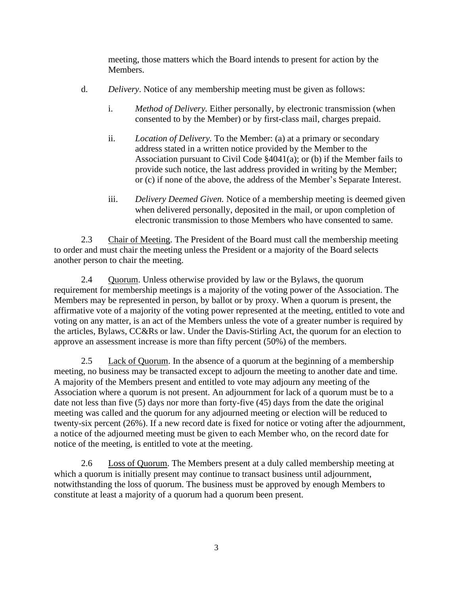meeting, those matters which the Board intends to present for action by the Members.

- d. *Delivery*. Notice of any membership meeting must be given as follows:
	- i. *Method of Delivery.* Either personally, by electronic transmission (when consented to by the Member) or by first-class mail, charges prepaid.
	- ii. *Location of Delivery.* To the Member: (a) at a primary or secondary address stated in a written notice provided by the Member to the Association pursuant to Civil Code §4041(a); or (b) if the Member fails to provide such notice, the last address provided in writing by the Member; or (c) if none of the above, the address of the Member's Separate Interest.
	- iii. *Delivery Deemed Given.* Notice of a membership meeting is deemed given when delivered personally, deposited in the mail, or upon completion of electronic transmission to those Members who have consented to same.

2.3 Chair of Meeting. The President of the Board must call the membership meeting to order and must chair the meeting unless the President or a majority of the Board selects another person to chair the meeting.

2.4 Quorum. Unless otherwise provided by law or the Bylaws, the quorum requirement for membership meetings is a majority of the voting power of the Association. The Members may be represented in person, by ballot or by proxy. When a quorum is present, the affirmative vote of a majority of the voting power represented at the meeting, entitled to vote and voting on any matter, is an act of the Members unless the vote of a greater number is required by the articles, Bylaws, CC&Rs or law. Under the Davis-Stirling Act, the quorum for an election to approve an assessment increase is more than fifty percent (50%) of the members.

2.5 Lack of Quorum. In the absence of a quorum at the beginning of a membership meeting, no business may be transacted except to adjourn the meeting to another date and time. A majority of the Members present and entitled to vote may adjourn any meeting of the Association where a quorum is not present. An adjournment for lack of a quorum must be to a date not less than five (5) days nor more than forty-five (45) days from the date the original meeting was called and the quorum for any adjourned meeting or election will be reduced to twenty-six percent (26%). If a new record date is fixed for notice or voting after the adjournment, a notice of the adjourned meeting must be given to each Member who, on the record date for notice of the meeting, is entitled to vote at the meeting.

2.6 Loss of Quorum. The Members present at a duly called membership meeting at which a quorum is initially present may continue to transact business until adjournment, notwithstanding the loss of quorum. The business must be approved by enough Members to constitute at least a majority of a quorum had a quorum been present.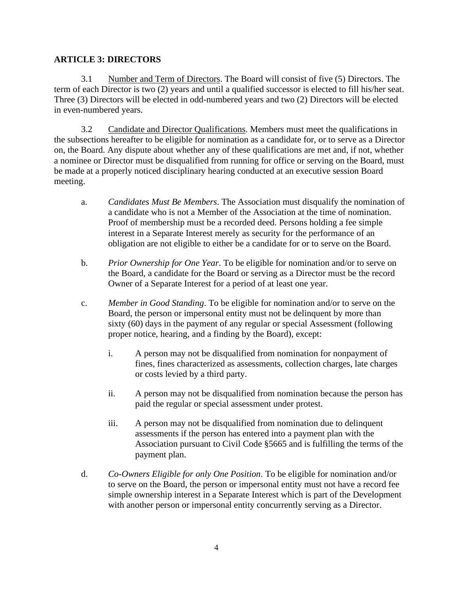## **ARTICLE 3: DIRECTORS**

3.1 Number and Term of Directors. The Board will consist of five (5) Directors. The term of each Director is two (2) years and until a qualified successor is elected to fill his/her seat. Three (3) Directors will be elected in odd-numbered years and two (2) Directors will be elected in even-numbered years.

3.2 Candidate and Director Qualifications. Members must meet the qualifications in the subsections hereafter to be eligible for nomination as a candidate for, or to serve as a Director on, the Board. Any dispute about whether any of these qualifications are met and, if not, whether a nominee or Director must be disqualified from running for office or serving on the Board, must be made at a properly noticed disciplinary hearing conducted at an executive session Board meeting.

- a. *Candidates Must Be Members*. The Association must disqualify the nomination of a candidate who is not a Member of the Association at the time of nomination. Proof of membership must be a recorded deed. Persons holding a fee simple interest in a Separate Interest merely as security for the performance of an obligation are not eligible to either be a candidate for or to serve on the Board.
- b. *Prior Ownership for One Year*. To be eligible for nomination and/or to serve on the Board, a candidate for the Board or serving as a Director must be the record Owner of a Separate Interest for a period of at least one year.
- c. *Member in Good Standing*. To be eligible for nomination and/or to serve on the Board, the person or impersonal entity must not be delinquent by more than sixty (60) days in the payment of any regular or special Assessment (following proper notice, hearing, and a finding by the Board), except:
	- i. A person may not be disqualified from nomination for nonpayment of fines, fines characterized as assessments, collection charges, late charges or costs levied by a third party.
	- ii. A person may not be disqualified from nomination because the person has paid the regular or special assessment under protest.
	- iii. A person may not be disqualified from nomination due to delinquent assessments if the person has entered into a payment plan with the Association pursuant to Civil Code §5665 and is fulfilling the terms of the payment plan.
- d. *Co-Owners Eligible for only One Position*. To be eligible for nomination and/or to serve on the Board, the person or impersonal entity must not have a record fee simple ownership interest in a Separate Interest which is part of the Development with another person or impersonal entity concurrently serving as a Director.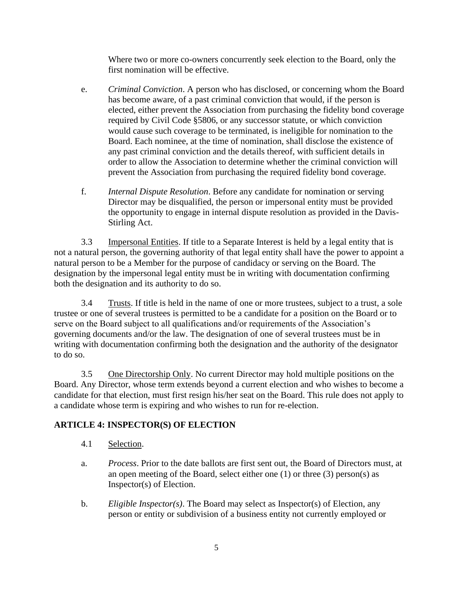Where two or more co-owners concurrently seek election to the Board, only the first nomination will be effective.

- e. *Criminal Conviction*. A person who has disclosed, or concerning whom the Board has become aware, of a past criminal conviction that would, if the person is elected, either prevent the Association from purchasing the fidelity bond coverage required by Civil Code §5806, or any successor statute, or which conviction would cause such coverage to be terminated, is ineligible for nomination to the Board. Each nominee, at the time of nomination, shall disclose the existence of any past criminal conviction and the details thereof, with sufficient details in order to allow the Association to determine whether the criminal conviction will prevent the Association from purchasing the required fidelity bond coverage.
- f. *Internal Dispute Resolution*. Before any candidate for nomination or serving Director may be disqualified, the person or impersonal entity must be provided the opportunity to engage in internal dispute resolution as provided in the Davis-Stirling Act.

3.3 Impersonal Entities. If title to a Separate Interest is held by a legal entity that is not a natural person, the governing authority of that legal entity shall have the power to appoint a natural person to be a Member for the purpose of candidacy or serving on the Board. The designation by the impersonal legal entity must be in writing with documentation confirming both the designation and its authority to do so.

3.4 Trusts. If title is held in the name of one or more trustees, subject to a trust, a sole trustee or one of several trustees is permitted to be a candidate for a position on the Board or to serve on the Board subject to all qualifications and/or requirements of the Association's governing documents and/or the law. The designation of one of several trustees must be in writing with documentation confirming both the designation and the authority of the designator to do so.

3.5 One Directorship Only. No current Director may hold multiple positions on the Board. Any Director, whose term extends beyond a current election and who wishes to become a candidate for that election, must first resign his/her seat on the Board. This rule does not apply to a candidate whose term is expiring and who wishes to run for re-election.

## **ARTICLE 4: INSPECTOR(S) OF ELECTION**

- 4.1 Selection.
- a. *Process*. Prior to the date ballots are first sent out, the Board of Directors must, at an open meeting of the Board, select either one (1) or three (3) person(s) as Inspector(s) of Election.
- b. *Eligible Inspector(s)*. The Board may select as Inspector(s) of Election, any person or entity or subdivision of a business entity not currently employed or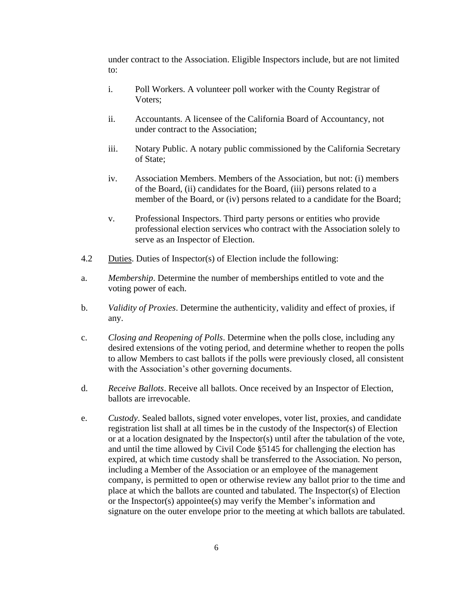under contract to the Association. Eligible Inspectors include, but are not limited to:

- i. Poll Workers. A volunteer poll worker with the County Registrar of Voters;
- ii. Accountants. A licensee of the California Board of Accountancy, not under contract to the Association;
- iii. Notary Public. A notary public commissioned by the California Secretary of State;
- iv. Association Members. Members of the Association, but not: (i) members of the Board, (ii) candidates for the Board, (iii) persons related to a member of the Board, or (iv) persons related to a candidate for the Board;
- v. Professional Inspectors. Third party persons or entities who provide professional election services who contract with the Association solely to serve as an Inspector of Election.
- 4.2 Duties. Duties of Inspector(s) of Election include the following:
- a. *Membership*. Determine the number of memberships entitled to vote and the voting power of each.
- b. *Validity of Proxies*. Determine the authenticity, validity and effect of proxies, if any.
- c. *Closing and Reopening of Polls*. Determine when the polls close, including any desired extensions of the voting period, and determine whether to reopen the polls to allow Members to cast ballots if the polls were previously closed, all consistent with the Association's other governing documents.
- d. *Receive Ballots*. Receive all ballots. Once received by an Inspector of Election, ballots are irrevocable.
- e. *Custody*. Sealed ballots, signed voter envelopes, voter list, proxies, and candidate registration list shall at all times be in the custody of the Inspector(s) of Election or at a location designated by the Inspector(s) until after the tabulation of the vote, and until the time allowed by Civil Code §5145 for challenging the election has expired, at which time custody shall be transferred to the Association. No person, including a Member of the Association or an employee of the management company, is permitted to open or otherwise review any ballot prior to the time and place at which the ballots are counted and tabulated. The Inspector(s) of Election or the Inspector(s) appointee(s) may verify the Member's information and signature on the outer envelope prior to the meeting at which ballots are tabulated.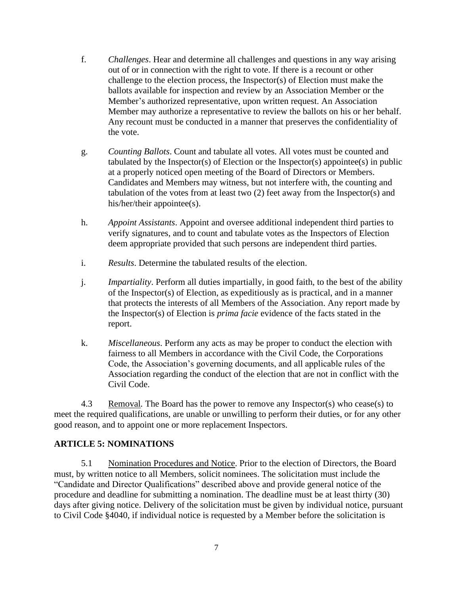- f. *Challenges*. Hear and determine all challenges and questions in any way arising out of or in connection with the right to vote. If there is a recount or other challenge to the election process, the Inspector(s) of Election must make the ballots available for inspection and review by an Association Member or the Member's authorized representative, upon written request. An Association Member may authorize a representative to review the ballots on his or her behalf. Any recount must be conducted in a manner that preserves the confidentiality of the vote.
- g. *Counting Ballots*. Count and tabulate all votes. All votes must be counted and tabulated by the Inspector(s) of Election or the Inspector(s) appointee(s) in public at a properly noticed open meeting of the Board of Directors or Members. Candidates and Members may witness, but not interfere with, the counting and tabulation of the votes from at least two (2) feet away from the Inspector(s) and his/her/their appointee(s).
- h. *Appoint Assistants*. Appoint and oversee additional independent third parties to verify signatures, and to count and tabulate votes as the Inspectors of Election deem appropriate provided that such persons are independent third parties.
- i. *Results*. Determine the tabulated results of the election.
- j. *Impartiality*. Perform all duties impartially, in good faith, to the best of the ability of the Inspector(s) of Election, as expeditiously as is practical, and in a manner that protects the interests of all Members of the Association. Any report made by the Inspector(s) of Election is *prima facie* evidence of the facts stated in the report.
- k. *Miscellaneous*. Perform any acts as may be proper to conduct the election with fairness to all Members in accordance with the Civil Code, the Corporations Code, the Association's governing documents, and all applicable rules of the Association regarding the conduct of the election that are not in conflict with the Civil Code.

4.3 Removal*.* The Board has the power to remove any Inspector(s) who cease(s) to meet the required qualifications, are unable or unwilling to perform their duties, or for any other good reason, and to appoint one or more replacement Inspectors.

## **ARTICLE 5: NOMINATIONS**

5.1 Nomination Procedures and Notice. Prior to the election of Directors, the Board must, by written notice to all Members, solicit nominees. The solicitation must include the "Candidate and Director Qualifications" described above and provide general notice of the procedure and deadline for submitting a nomination. The deadline must be at least thirty (30) days after giving notice. Delivery of the solicitation must be given by individual notice, pursuant to Civil Code §4040, if individual notice is requested by a Member before the solicitation is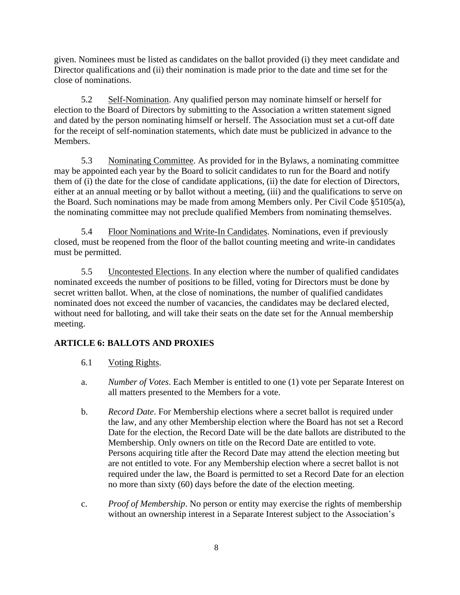given. Nominees must be listed as candidates on the ballot provided (i) they meet candidate and Director qualifications and (ii) their nomination is made prior to the date and time set for the close of nominations.

5.2 Self-Nomination. Any qualified person may nominate himself or herself for election to the Board of Directors by submitting to the Association a written statement signed and dated by the person nominating himself or herself. The Association must set a cut-off date for the receipt of self-nomination statements, which date must be publicized in advance to the Members.

5.3 Nominating Committee. As provided for in the Bylaws, a nominating committee may be appointed each year by the Board to solicit candidates to run for the Board and notify them of (i) the date for the close of candidate applications, (ii) the date for election of Directors, either at an annual meeting or by ballot without a meeting, (iii) and the qualifications to serve on the Board. Such nominations may be made from among Members only. Per Civil Code §5105(a), the nominating committee may not preclude qualified Members from nominating themselves.

5.4 Floor Nominations and Write-In Candidates. Nominations, even if previously closed, must be reopened from the floor of the ballot counting meeting and write-in candidates must be permitted.

5.5 Uncontested Elections. In any election where the number of qualified candidates nominated exceeds the number of positions to be filled, voting for Directors must be done by secret written ballot. When, at the close of nominations, the number of qualified candidates nominated does not exceed the number of vacancies, the candidates may be declared elected, without need for balloting, and will take their seats on the date set for the Annual membership meeting.

## **ARTICLE 6: BALLOTS AND PROXIES**

- 6.1 Voting Rights.
- a. *Number of Votes*. Each Member is entitled to one (1) vote per Separate Interest on all matters presented to the Members for a vote.
- b. *Record Date*. For Membership elections where a secret ballot is required under the law, and any other Membership election where the Board has not set a Record Date for the election, the Record Date will be the date ballots are distributed to the Membership. Only owners on title on the Record Date are entitled to vote. Persons acquiring title after the Record Date may attend the election meeting but are not entitled to vote. For any Membership election where a secret ballot is not required under the law, the Board is permitted to set a Record Date for an election no more than sixty (60) days before the date of the election meeting.
- c. *Proof of Membership*. No person or entity may exercise the rights of membership without an ownership interest in a Separate Interest subject to the Association's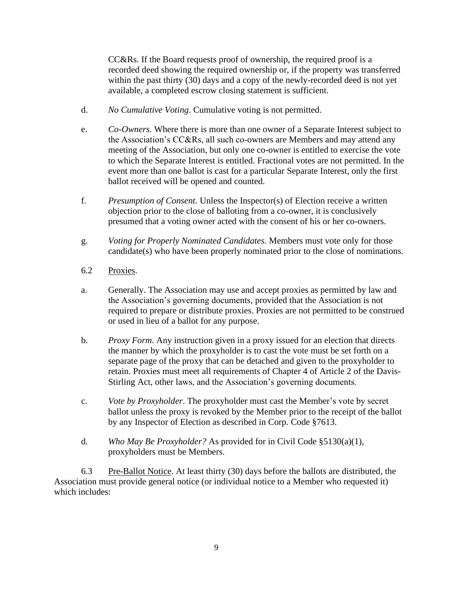CC&Rs. If the Board requests proof of ownership, the required proof is a recorded deed showing the required ownership or, if the property was transferred within the past thirty (30) days and a copy of the newly-recorded deed is not yet available, a completed escrow closing statement is sufficient.

- d. *No Cumulative Voting*. Cumulative voting is not permitted.
- e. *Co-Owners.* Where there is more than one owner of a Separate Interest subject to the Association's CC&Rs, all such co-owners are Members and may attend any meeting of the Association, but only one co-owner is entitled to exercise the vote to which the Separate Interest is entitled. Fractional votes are not permitted. In the event more than one ballot is cast for a particular Separate Interest, only the first ballot received will be opened and counted.
- f. *Presumption of Consent.* Unless the Inspector(s) of Election receive a written objection prior to the close of balloting from a co-owner, it is conclusively presumed that a voting owner acted with the consent of his or her co-owners.
- g. *Voting for Properly Nominated Candidates.* Members must vote only for those candidate(s) who have been properly nominated prior to the close of nominations.
- 6.2 Proxies.
- a. Generally. The Association may use and accept proxies as permitted by law and the Association's governing documents, provided that the Association is not required to prepare or distribute proxies. Proxies are not permitted to be construed or used in lieu of a ballot for any purpose.
- b. *Proxy Form*. Any instruction given in a proxy issued for an election that directs the manner by which the proxyholder is to cast the vote must be set forth on a separate page of the proxy that can be detached and given to the proxyholder to retain. Proxies must meet all requirements of Chapter 4 of Article 2 of the Davis-Stirling Act, other laws, and the Association's governing documents.
- c. *Vote by Proxyholder*. The proxyholder must cast the Member's vote by secret ballot unless the proxy is revoked by the Member prior to the receipt of the ballot by any Inspector of Election as described in Corp. Code §7613.
- d. *Who May Be Proxyholder?* As provided for in Civil Code §5130(a)(1), proxyholders must be Members.

6.3 Pre-Ballot Notice. At least thirty (30) days before the ballots are distributed, the Association must provide general notice (or individual notice to a Member who requested it) which includes: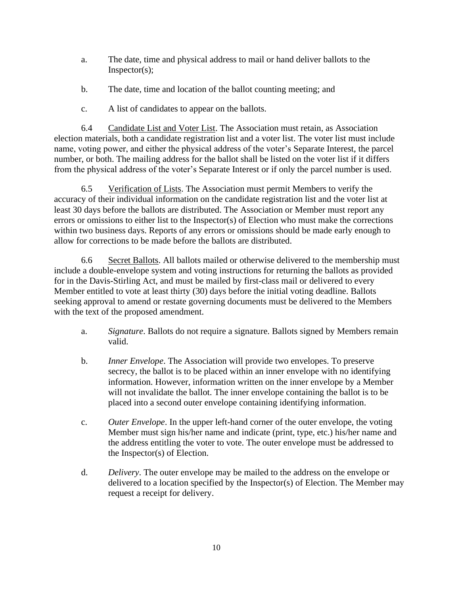- a. The date, time and physical address to mail or hand deliver ballots to the Inspector(s);
- b. The date, time and location of the ballot counting meeting; and
- c. A list of candidates to appear on the ballots.

6.4 Candidate List and Voter List. The Association must retain, as Association election materials, both a candidate registration list and a voter list. The voter list must include name, voting power, and either the physical address of the voter's Separate Interest, the parcel number, or both. The mailing address for the ballot shall be listed on the voter list if it differs from the physical address of the voter's Separate Interest or if only the parcel number is used.

6.5 Verification of Lists. The Association must permit Members to verify the accuracy of their individual information on the candidate registration list and the voter list at least 30 days before the ballots are distributed. The Association or Member must report any errors or omissions to either list to the Inspector(s) of Election who must make the corrections within two business days. Reports of any errors or omissions should be made early enough to allow for corrections to be made before the ballots are distributed.

6.6 Secret Ballots. All ballots mailed or otherwise delivered to the membership must include a double-envelope system and voting instructions for returning the ballots as provided for in the Davis-Stirling Act, and must be mailed by first-class mail or delivered to every Member entitled to vote at least thirty (30) days before the initial voting deadline. Ballots seeking approval to amend or restate governing documents must be delivered to the Members with the text of the proposed amendment.

- a. *Signature*. Ballots do not require a signature. Ballots signed by Members remain valid.
- b. *Inner Envelope*. The Association will provide two envelopes. To preserve secrecy, the ballot is to be placed within an inner envelope with no identifying information. However, information written on the inner envelope by a Member will not invalidate the ballot. The inner envelope containing the ballot is to be placed into a second outer envelope containing identifying information.
- c. *Outer Envelope*. In the upper left-hand corner of the outer envelope, the voting Member must sign his/her name and indicate (print, type, etc.) his/her name and the address entitling the voter to vote. The outer envelope must be addressed to the Inspector(s) of Election.
- d. *Delivery*. The outer envelope may be mailed to the address on the envelope or delivered to a location specified by the Inspector(s) of Election. The Member may request a receipt for delivery.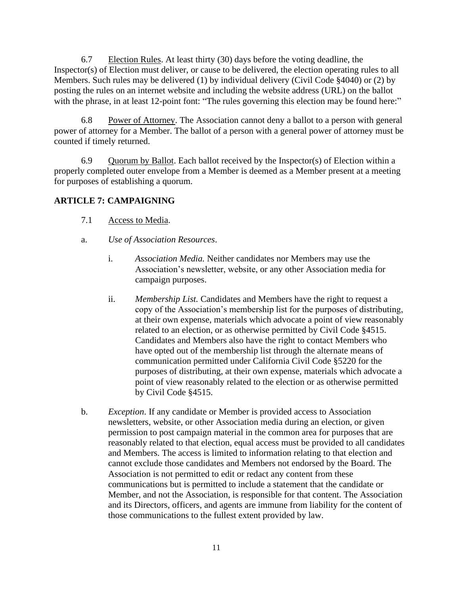6.7 Election Rules. At least thirty (30) days before the voting deadline, the Inspector(s) of Election must deliver, or cause to be delivered, the election operating rules to all Members. Such rules may be delivered (1) by individual delivery (Civil Code §4040) or (2) by posting the rules on an internet website and including the website address (URL) on the ballot with the phrase, in at least 12-point font: "The rules governing this election may be found here:"

6.8 Power of Attorney. The Association cannot deny a ballot to a person with general power of attorney for a Member. The ballot of a person with a general power of attorney must be counted if timely returned.

6.9 Quorum by Ballot. Each ballot received by the Inspector(s) of Election within a properly completed outer envelope from a Member is deemed as a Member present at a meeting for purposes of establishing a quorum.

## **ARTICLE 7: CAMPAIGNING**

- 7.1 Access to Media.
- a. *Use of Association Resources*.
	- i. *Association Media.* Neither candidates nor Members may use the Association's newsletter, website, or any other Association media for campaign purposes.
	- ii. *Membership List.* Candidates and Members have the right to request a copy of the Association's membership list for the purposes of distributing, at their own expense, materials which advocate a point of view reasonably related to an election, or as otherwise permitted by Civil Code §4515. Candidates and Members also have the right to contact Members who have opted out of the membership list through the alternate means of communication permitted under California Civil Code §5220 for the purposes of distributing, at their own expense, materials which advocate a point of view reasonably related to the election or as otherwise permitted by Civil Code §4515.
- b. *Exception*. If any candidate or Member is provided access to Association newsletters, website, or other Association media during an election, or given permission to post campaign material in the common area for purposes that are reasonably related to that election, equal access must be provided to all candidates and Members. The access is limited to information relating to that election and cannot exclude those candidates and Members not endorsed by the Board. The Association is not permitted to edit or redact any content from these communications but is permitted to include a statement that the candidate or Member, and not the Association, is responsible for that content. The Association and its Directors, officers, and agents are immune from liability for the content of those communications to the fullest extent provided by law.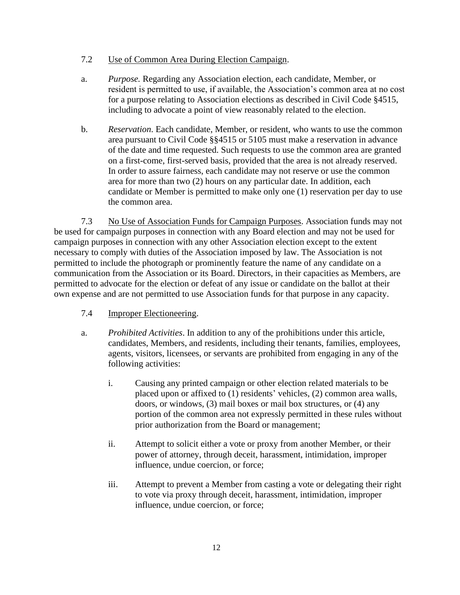## 7.2 Use of Common Area During Election Campaign.

- a. *Purpose.* Regarding any Association election, each candidate, Member, or resident is permitted to use, if available, the Association's common area at no cost for a purpose relating to Association elections as described in Civil Code §4515, including to advocate a point of view reasonably related to the election.
- b. *Reservation*. Each candidate, Member, or resident, who wants to use the common area pursuant to Civil Code §§4515 or 5105 must make a reservation in advance of the date and time requested. Such requests to use the common area are granted on a first-come, first-served basis, provided that the area is not already reserved. In order to assure fairness, each candidate may not reserve or use the common area for more than two (2) hours on any particular date. In addition, each candidate or Member is permitted to make only one (1) reservation per day to use the common area.

7.3 No Use of Association Funds for Campaign Purposes. Association funds may not be used for campaign purposes in connection with any Board election and may not be used for campaign purposes in connection with any other Association election except to the extent necessary to comply with duties of the Association imposed by law. The Association is not permitted to include the photograph or prominently feature the name of any candidate on a communication from the Association or its Board. Directors, in their capacities as Members, are permitted to advocate for the election or defeat of any issue or candidate on the ballot at their own expense and are not permitted to use Association funds for that purpose in any capacity.

## 7.4 Improper Electioneering.

- a. *Prohibited Activities*. In addition to any of the prohibitions under this article, candidates, Members, and residents, including their tenants, families, employees, agents, visitors, licensees, or servants are prohibited from engaging in any of the following activities:
	- i. Causing any printed campaign or other election related materials to be placed upon or affixed to (1) residents' vehicles, (2) common area walls, doors, or windows, (3) mail boxes or mail box structures, or (4) any portion of the common area not expressly permitted in these rules without prior authorization from the Board or management;
	- ii. Attempt to solicit either a vote or proxy from another Member, or their power of attorney, through deceit, harassment, intimidation, improper influence, undue coercion, or force;
	- iii. Attempt to prevent a Member from casting a vote or delegating their right to vote via proxy through deceit, harassment, intimidation, improper influence, undue coercion, or force;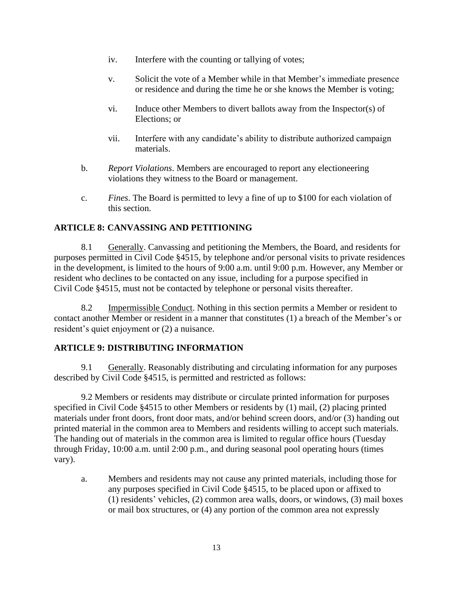- iv. Interfere with the counting or tallying of votes;
- v. Solicit the vote of a Member while in that Member's immediate presence or residence and during the time he or she knows the Member is voting;
- vi. Induce other Members to divert ballots away from the Inspector(s) of Elections; or
- vii. Interfere with any candidate's ability to distribute authorized campaign materials.
- b. *Report Violations*. Members are encouraged to report any electioneering violations they witness to the Board or management.
- c. *Fines*. The Board is permitted to levy a fine of up to \$100 for each violation of this section.

## **ARTICLE 8: CANVASSING AND PETITIONING**

8.1 Generally. Canvassing and petitioning the Members, the Board, and residents for purposes permitted in Civil Code §4515, by telephone and/or personal visits to private residences in the development, is limited to the hours of 9:00 a.m. until 9:00 p.m. However, any Member or resident who declines to be contacted on any issue, including for a purpose specified in Civil Code §4515, must not be contacted by telephone or personal visits thereafter.

8.2 Impermissible Conduct. Nothing in this section permits a Member or resident to contact another Member or resident in a manner that constitutes (1) a breach of the Member's or resident's quiet enjoyment or (2) a nuisance.

## **ARTICLE 9: DISTRIBUTING INFORMATION**

9.1 Generally. Reasonably distributing and circulating information for any purposes described by Civil Code §4515, is permitted and restricted as follows:

9.2 Members or residents may distribute or circulate printed information for purposes specified in Civil Code §4515 to other Members or residents by (1) mail, (2) placing printed materials under front doors, front door mats, and/or behind screen doors, and/or (3) handing out printed material in the common area to Members and residents willing to accept such materials. The handing out of materials in the common area is limited to regular office hours (Tuesday through Friday, 10:00 a.m. until 2:00 p.m., and during seasonal pool operating hours (times vary).

a. Members and residents may not cause any printed materials, including those for any purposes specified in Civil Code §4515, to be placed upon or affixed to (1) residents' vehicles, (2) common area walls, doors, or windows, (3) mail boxes or mail box structures, or (4) any portion of the common area not expressly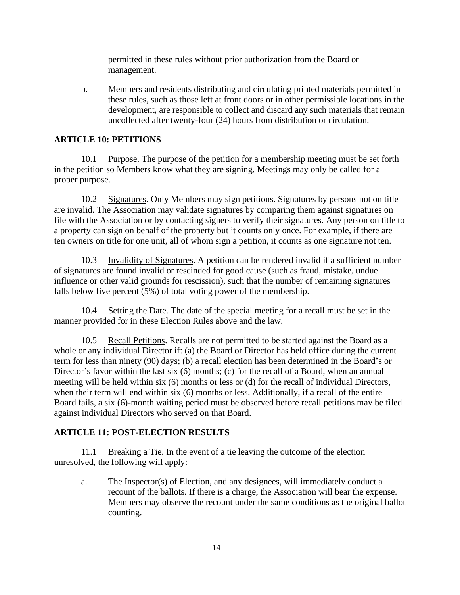permitted in these rules without prior authorization from the Board or management.

b. Members and residents distributing and circulating printed materials permitted in these rules, such as those left at front doors or in other permissible locations in the development, are responsible to collect and discard any such materials that remain uncollected after twenty-four (24) hours from distribution or circulation.

## **ARTICLE 10: PETITIONS**

10.1 Purpose. The purpose of the petition for a membership meeting must be set forth in the petition so Members know what they are signing. Meetings may only be called for a proper purpose.

10.2 Signatures. Only Members may sign petitions. Signatures by persons not on title are invalid. The Association may validate signatures by comparing them against signatures on file with the Association or by contacting signers to verify their signatures. Any person on title to a property can sign on behalf of the property but it counts only once. For example, if there are ten owners on title for one unit, all of whom sign a petition, it counts as one signature not ten.

10.3 Invalidity of Signatures. A petition can be rendered invalid if a sufficient number of signatures are found invalid or rescinded for good cause (such as fraud, mistake, undue influence or other valid grounds for rescission), such that the number of remaining signatures falls below five percent (5%) of total voting power of the membership.

10.4 Setting the Date. The date of the special meeting for a recall must be set in the manner provided for in these Election Rules above and the law.

10.5 Recall Petitions. Recalls are not permitted to be started against the Board as a whole or any individual Director if: (a) the Board or Director has held office during the current term for less than ninety (90) days; (b) a recall election has been determined in the Board's or Director's favor within the last six (6) months; (c) for the recall of a Board, when an annual meeting will be held within six (6) months or less or (d) for the recall of individual Directors, when their term will end within six (6) months or less. Additionally, if a recall of the entire Board fails, a six (6)-month waiting period must be observed before recall petitions may be filed against individual Directors who served on that Board.

## **ARTICLE 11: POST-ELECTION RESULTS**

11.1 Breaking a Tie. In the event of a tie leaving the outcome of the election unresolved, the following will apply:

a. The Inspector(s) of Election, and any designees, will immediately conduct a recount of the ballots. If there is a charge, the Association will bear the expense. Members may observe the recount under the same conditions as the original ballot counting.